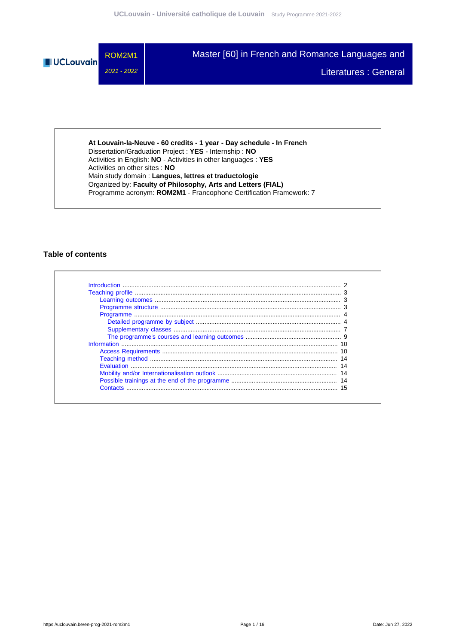

**At Louvain-la-Neuve - 60 credits - 1 year - Day schedule - In French** Dissertation/Graduation Project : **YES** - Internship : **NO** Activities in English: **NO** - Activities in other languages : **YES** Activities on other sites : **NO** Main study domain : **Langues, lettres et traductologie** Organized by: **Faculty of Philosophy, Arts and Letters (FIAL)** Programme acronym: **ROM2M1** - Francophone Certification Framework: 7

## **Table of contents**

| Contacts |  |
|----------|--|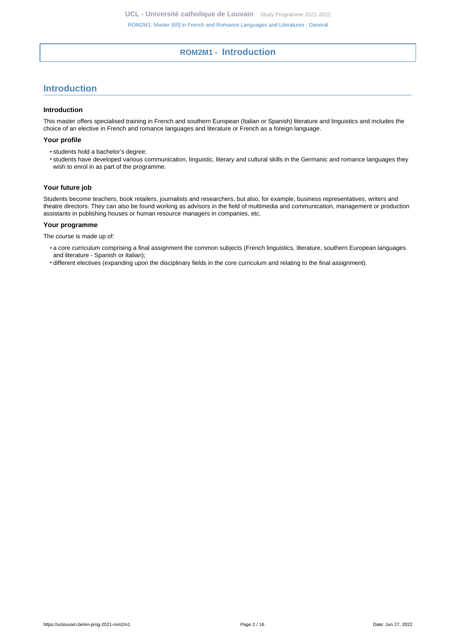# **ROM2M1 - Introduction**

# <span id="page-1-0"></span>**Introduction**

#### **Introduction**

This master offers specialised training in French and southern European (Italian or Spanish) literature and linguistics and includes the choice of an elective in French and romance languages and literature or French as a foreign language.

### **Your profile**

- students hold a bachelor's degree;
- students have developed various communication, linguistic, literary and cultural skills in the Germanic and romance languages they wish to enrol in as part of the programme.

## **Your future job**

Students become teachers, book retailers, journalists and researchers, but also, for example, business representatives, writers and theatre directors. They can also be found working as advisors in the field of multimedia and communication, management or production assistants in publishing houses or human resource managers in companies, etc.

### **Your programme**

The course is made up of:

- a core curriculum comprising a final assignment the common subjects (French linguistics, literature, southern European languages and literature - Spanish or Italian);
- different electives (expanding upon the disciplinary fields in the core curriculum and relating to the final assignment).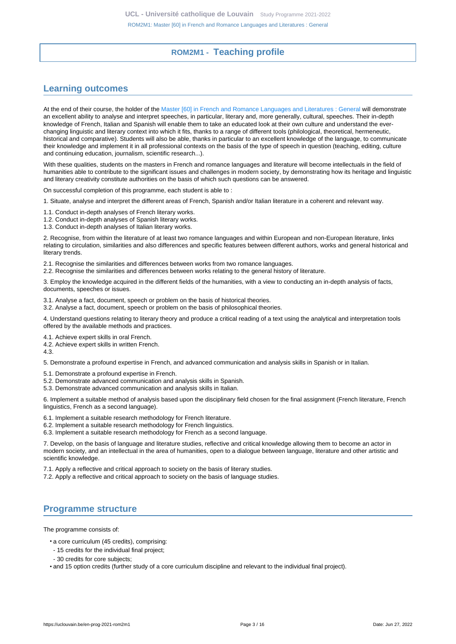# **ROM2M1 - Teaching profile**

# <span id="page-2-1"></span><span id="page-2-0"></span>**Learning outcomes**

At the end of their course, the holder of the [Master \[60\] in French and Romance Languages and Literatures : General](https://uclouvain.be/en-prog-2021-rom2m1) will demonstrate an excellent ability to analyse and interpret speeches, in particular, literary and, more generally, cultural, speeches. Their in-depth knowledge of French, Italian and Spanish will enable them to take an educated look at their own culture and understand the everchanging linguistic and literary context into which it fits, thanks to a range of different tools (philological, theoretical, hermeneutic, historical and comparative). Students will also be able, thanks in particular to an excellent knowledge of the language, to communicate their knowledge and implement it in all professional contexts on the basis of the type of speech in question (teaching, editing, culture and continuing education, journalism, scientific research...).

With these qualities, students on the masters in French and romance languages and literature will become intellectuals in the field of humanities able to contribute to the significant issues and challenges in modern society, by demonstrating how its heritage and linguistic and literary creativity constitute authorities on the basis of which such questions can be answered.

On successful completion of this programme, each student is able to :

1. Situate, analyse and interpret the different areas of French, Spanish and/or Italian literature in a coherent and relevant way.

- 1.1. Conduct in-depth analyses of French literary works.
- 1.2. Conduct in-depth analyses of Spanish literary works.
- 1.3. Conduct in-depth analyses of Italian literary works.

2. Recognise, from within the literature of at least two romance languages and within European and non-European literature, links relating to circulation, similarities and also differences and specific features between different authors, works and general historical and literary trends.

- 2.1. Recognise the similarities and differences between works from two romance languages.
- 2.2. Recognise the similarities and differences between works relating to the general history of literature.

3. Employ the knowledge acquired in the different fields of the humanities, with a view to conducting an in-depth analysis of facts, documents, speeches or issues.

3.1. Analyse a fact, document, speech or problem on the basis of historical theories.

3.2. Analyse a fact, document, speech or problem on the basis of philosophical theories.

4. Understand questions relating to literary theory and produce a critical reading of a text using the analytical and interpretation tools offered by the available methods and practices.

4.1. Achieve expert skills in oral French.

4.2. Achieve expert skills in written French.

4.3.

5. Demonstrate a profound expertise in French, and advanced communication and analysis skills in Spanish or in Italian.

- 5.1. Demonstrate a profound expertise in French.
- 5.2. Demonstrate advanced communication and analysis skills in Spanish.
- 5.3. Demonstrate advanced communication and analysis skills in Italian.

6. Implement a suitable method of analysis based upon the disciplinary field chosen for the final assignment (French literature, French linguistics, French as a second language).

6.1. Implement a suitable research methodology for French literature.

6.2. Implement a suitable research methodology for French linguistics.

6.3. Implement a suitable research methodology for French as a second language.

7. Develop, on the basis of language and literature studies, reflective and critical knowledge allowing them to become an actor in modern society, and an intellectual in the area of humanities, open to a dialogue between language, literature and other artistic and scientific knowledge.

7.1. Apply a reflective and critical approach to society on the basis of literary studies.

7.2. Apply a reflective and critical approach to society on the basis of language studies.

## <span id="page-2-2"></span>**Programme structure**

The programme consists of:

- a core curriculum (45 credits), comprising:
- 15 credits for the individual final project;
- 30 credits for core subjects;

• and 15 option credits (further study of a core curriculum discipline and relevant to the individual final project).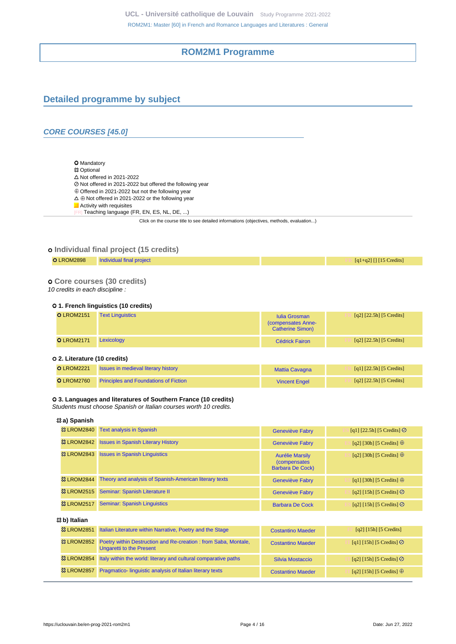# **ROM2M1 Programme**

# <span id="page-3-1"></span><span id="page-3-0"></span>**Detailed programme by subject**

## **CORE COURSES [45.0]**

O Mandatory **83 Optional**  $\Delta$  Not offered in 2021-2022 Not offered in 2021-2022 but offered the following year  $\oplus$  Offered in 2021-2022 but not the following year  $\Delta \oplus$  Not offered in 2021-2022 or the following year **Activity with requisites** Teaching language (FR, EN, ES, NL, DE, ...)

Click on the course title to see detailed informations (objectives, methods, evaluation...)

## **Individual final project (15 credits)**

**O** LROM2898 [Individual final project](https://uclouvain.be/cours-2021-LROM2898) **FR FR FR**  $\frac{1}{2}$  [q1+q2] [] [15 Credits]

 **Core courses (30 credits)**

10 credits in each discipline :

#### **1. French linguistics (10 credits)**

| <b>O</b> LROM2151 | <b>Text Linguistics</b> | <b>Iulia Grosman</b><br>(compensates Anne-<br><b>Catherine Simon)</b> | $[q2]$ [22.5h] [5 Credits] |
|-------------------|-------------------------|-----------------------------------------------------------------------|----------------------------|
| <b>O</b> LROM2171 | Lexicology              | <b>Cédrick Fairon</b>                                                 | $[q2]$ [22.5h] [5 Credits] |

#### **2. Literature (10 credits)**

| <b>O</b> LROM2221 | <b>Issues in medieval literary history</b>   | Mattia Cavagna       | [q1] $[22.5h]$ [5 Credits] |
|-------------------|----------------------------------------------|----------------------|----------------------------|
| <b>O</b> LROM2760 | <b>Principles and Foundations of Fiction</b> | <b>Vincent Engel</b> | [q2] $[22.5h]$ [5 Credits] |

#### **3. Languages and literatures of Southern France (10 credits)**

Students must choose Spanish or Italian courses worth 10 credits.

# **a) Spanish**

| <b>&amp; LROM2840</b>   | <b>Text analysis in Spanish</b>                                                                    | <b>Geneviève Fabry</b>                                                    | [q1] [22.5h] [5 Credits] $\oslash$    |  |
|-------------------------|----------------------------------------------------------------------------------------------------|---------------------------------------------------------------------------|---------------------------------------|--|
| <b>&amp; LROM2842</b>   | <b>Issues in Spanish Literary History</b>                                                          | <b>Geneviève Fabry</b>                                                    | [q2] [30h] [5 Credits] $\oplus$       |  |
| <b>&amp; LROM2843</b>   | <b>Issues in Spanish Linguistics</b>                                                               | <b>Aurélie Marsily</b><br><i>(compensates)</i><br><b>Barbara De Cock)</b> | [q2] [30h] [5 Credits] $\oplus$       |  |
| <b>&amp; LROM2844</b>   | Theory and analysis of Spanish-American literary texts                                             | <b>Geneviève Fabry</b>                                                    | [q1] [30h] [5 Credits] $\oplus$       |  |
| <b>&amp; LROM2515</b>   | Seminar: Spanish Literature II                                                                     | <b>Geneviève Fabry</b>                                                    | [q2] [15h] [5 Credits] $\odot$        |  |
| <b>&amp; LROM2517</b>   | <b>Seminar: Spanish Linguistics</b>                                                                | <b>Barbara De Cock</b>                                                    | [q2] [15h] [5 Credits] $\odot$        |  |
| <sup>⊗</sup> b) Italian |                                                                                                    |                                                                           |                                       |  |
| <b>23 LROM2851</b>      | Italian Literature within Narrative, Poetry and the Stage                                          | <b>Costantino Maeder</b>                                                  | $\lceil q^2 \rceil$ [15h] [5 Credits] |  |
| <b>&amp; LROM2852</b>   | Poetry within Destruction and Re-creation : from Saba, Montale,<br><b>Ungaretti to the Present</b> | <b>Costantino Maeder</b>                                                  | [q1] [15h] [5 Credits] $\odot$        |  |
| <b>&amp; LROM2854</b>   | Italy within the world: literary and cultural comparative paths                                    | Silvia Mostaccio                                                          | [q2] [15h] [5 Credits] $\odot$        |  |

**<sup>23</sup> LROM2857** [Pragmatico- linguistic analysis of Italian literary texts](https://uclouvain.be/cours-2021-LROM2857) [Costantino Maeder](https://uclouvain.be/repertoires/costantino.maeder) **IT** [q2] [15h] [5 Credits] ⊕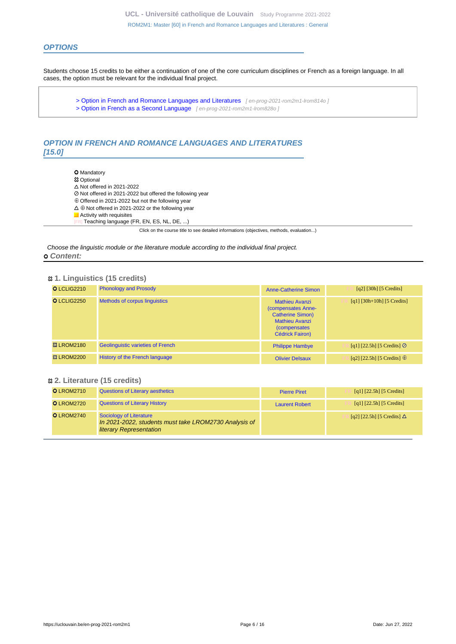## **OPTIONS**

Students choose 15 credits to be either a continuation of one of the core curriculum disciplines or French as a foreign language. In all cases, the option must be relevant for the individual final project.

[> Option in French and Romance Languages and Literatures](en-prog-2021-rom2m1-lrom814o) [en-prog-2021-rom2m1-lrom814o] [> Option in French as a Second Language](en-prog-2021-rom2m1-lrom828o) [ en-prog-2021-rom2m1-lrom828o ]

# **OPTION IN FRENCH AND ROMANCE LANGUAGES AND LITERATURES [15.0]**

**O** Mandatory

- **83 Optional**
- $\Delta$  Not offered in 2021-2022
- Not offered in 2021-2022 but offered the following year
- Offered in 2021-2022 but not the following year
- $\Delta \oplus$  Not offered in 2021-2022 or the following year
- **Activity with requisites**
- Teaching language (FR, EN, ES, NL, DE, ...)

Click on the course title to see detailed informations (objectives, methods, evaluation...)

Choose the linguistic module or the literature module according to the individual final project.  **Content:**

#### **1. Linguistics (15 credits)**

| O LCLIG2210           | <b>Phonology and Prosody</b>             | Anne-Catherine Simon                                                                                                                              | $\lceil q^2 \rceil$ [30h] [5 Credits] |
|-----------------------|------------------------------------------|---------------------------------------------------------------------------------------------------------------------------------------------------|---------------------------------------|
| O LCLIG2250           | <b>Methods of corpus linguistics</b>     | <b>Mathieu Avanzi</b><br>(compensates Anne-<br><b>Catherine Simon)</b><br><b>Mathieu Avanzi</b><br><i>(compensates)</i><br><b>Cédrick Fairon)</b> | $[q1]$ [30h+10h] [5 Credits]          |
| <b>&amp; LROM2180</b> | <b>Geolinguistic varieties of French</b> | <b>Philippe Hambye</b>                                                                                                                            | [q1] [22.5h] [5 Credits] $\odot$      |
| <b>&amp; LROM2200</b> | <b>History of the French language</b>    | <b>Olivier Delsaux</b>                                                                                                                            | [q2] [22.5h] [5 Credits] $\oplus$     |

## **2. Literature (15 credits)**

| <b>O</b> LROM2710 | <b>Questions of Literary aesthetics</b>                                                                            | <b>Pierre Piret</b>   | [q1] $[22.5h]$ [5 Credits]        |
|-------------------|--------------------------------------------------------------------------------------------------------------------|-----------------------|-----------------------------------|
| <b>O</b> LROM2720 | <b>Questions of Literary History</b>                                                                               | <b>Laurent Robert</b> | [q1] $[22.5h]$ [5 Credits]        |
| <b>O</b> LROM2740 | Sociology of Literature<br>In 2021-2022, students must take LROM2730 Analysis of<br><b>literary Representation</b> |                       | [q2] [22.5h] [5 Credits] $\Delta$ |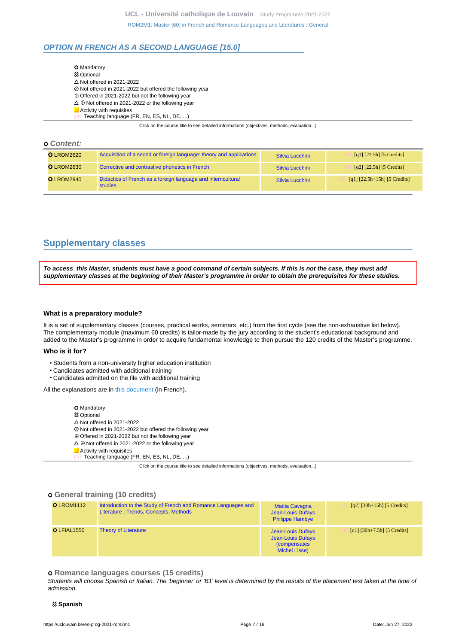## **OPTION IN FRENCH AS A SECOND LANGUAGE [15.0]**

| <b>O</b> Mandatory                                                                       |
|------------------------------------------------------------------------------------------|
| <b>83 Optional</b>                                                                       |
| $\triangle$ Not offered in 2021-2022                                                     |
| ⊘ Not offered in 2021-2022 but offered the following year                                |
| $\oplus$ Offered in 2021-2022 but not the following year                                 |
| $\Delta \oplus$ Not offered in 2021-2022 or the following year                           |
| Activity with requisites                                                                 |
| [FR] Teaching language (FR, EN, ES, NL, DE, )                                            |
| Click on the course title to see detailed informations (objectives, methods, evaluation) |

#### **Content:**

| <b>O</b> LROM2620 | Acquisition of a seond or foreign language: theory and applications     | Silvia Lucchini | [q1] $[22.5h]$ [5 Credits]     |
|-------------------|-------------------------------------------------------------------------|-----------------|--------------------------------|
| <b>O</b> LROM2630 | Corrective and contrastive phonetics in French                          | Silvia Lucchini | $[q2]$ [22.5h] [5 Credits]     |
| <b>O</b> LROM2940 | Didactics of French as a foreign language and interncultural<br>studies | Silvia Lucchini | $[q1]$ [22.5h+15h] [5 Credits] |

# <span id="page-6-0"></span>**Supplementary classes**

**To access this Master, students must have a good command of certain subjects. If this is not the case, they must add supplementary classes at the beginning of their Master's programme in order to obtain the prerequisites for these studies.**

#### **What is a preparatory module?**

It is a set of supplementary classes (courses, practical works, seminars, etc.) from the first cycle (see the non-exhaustive list below). The complementary module (maximum 60 credits) is tailor-made by the jury according to the student's educational background and added to the Master's programme in order to acquire fundamental knowledge to then pursue the 120 credits of the Master's programme.

#### **Who is it for?**

- Students from a non-university higher education institution
- Candidates admitted with additional training
- Candidates admitted on the file with additional training

All the explanations are in [this document](https://cdn.uclouvain.be/cdn-osis/ppe/2021/fial/documents/FIAL_module_compl%C3%A9mentaire.pdf) (in French).

**O** Mandatory

- Optional
- $\Delta$  Not offered in 2021-2022
- Not offered in 2021-2022 but offered the following year
- $\oplus$  Offered in 2021-2022 but not the following year
- $\Delta \oplus$  Not offered in 2021-2022 or the following year
- **Activity with requisites**
- Teaching language (FR, EN, ES, NL, DE, ...)

Click on the course title to see detailed informations (objectives, methods, evaluation...)

#### **General training (10 credits)**

| <b>O</b> LROM1112 | Introduction to the Study of French and Romance Languages and<br>Literature: Trends, Concepts, Methods | <b>Mattia Cavagna</b><br><b>Jean-Louis Dufays</b><br><b>Philippe Hambye</b>     | $[q2]$ [30h+15h] [5 Credits]  |
|-------------------|--------------------------------------------------------------------------------------------------------|---------------------------------------------------------------------------------|-------------------------------|
| O LFIAL1550       | <b>Theory of Literature</b>                                                                            | Jean-Louis Dufays<br>Jean-Louis Dufays<br><i>(compensates)</i><br>Michel Lisse) | $[q1] [30h+7.5h] [5 Credits]$ |

#### **Romance languages courses (15 credits)**

Students will choose Spanish or Italian. The 'beginner' or 'B1' level is determined by the results of the placement test taken at the time of admission.

#### **Spanish**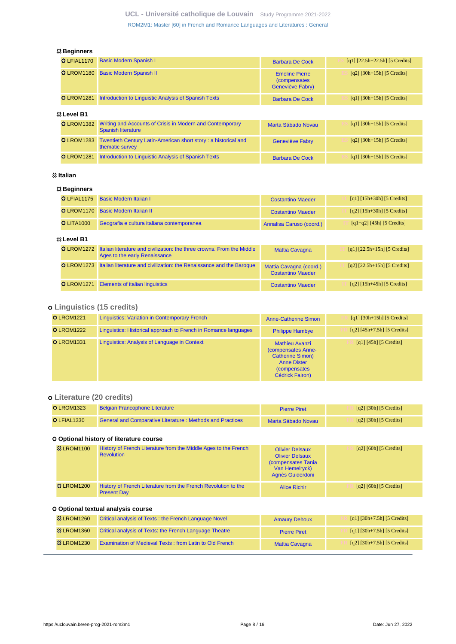## **Beginners**

| O LFIAL1170        | <b>Basic Modern Spanish I</b>                                                          | <b>Barbara De Cock</b>                                            | [q1] $[22.5h+22.5h]$ [5 Credits]                             |  |
|--------------------|----------------------------------------------------------------------------------------|-------------------------------------------------------------------|--------------------------------------------------------------|--|
| <b>OLROM1180</b>   | <b>Basic Modern Spanish II</b>                                                         | <b>Emeline Pierre</b><br><i>(compensates)</i><br>Geneviève Fabry) | $\lceil q^2 \rceil \lceil 30h + 15h \rceil \lceil 5 \right]$ |  |
| <b>O</b> LROM1281  | Introduction to Linguistic Analysis of Spanish Texts                                   | <b>Barbara De Cock</b>                                            | $\lceil q_1 \rceil \lceil 30h + 15h \rceil$ [5 Credits]      |  |
| <b>23 Level B1</b> |                                                                                        |                                                                   |                                                              |  |
| <b>O</b> LROM1382  | Writing and Accounts of Crisis in Modern and Contemporary<br><b>Spanish literature</b> | Marta Sábado Novau                                                | $\lceil q_1 \rceil \lceil 30h + 15h \rceil$ [5 Credits]      |  |
| <b>O</b> LROM1283  | Twentieth Century Latin-American short story: a historical and<br>thematic survey      | <b>Geneviève Fabry</b>                                            | $\lceil q^2 \rceil \lceil 30h + 15h \rceil \lceil 5 \right]$ |  |
| <b>O</b> LROM1281  | Introduction to Linguistic Analysis of Spanish Texts                                   | <b>Barbara De Cock</b>                                            | $\lceil q_1 \rceil \lceil 30h + 15h \rceil$ [5 Credits]      |  |

## **Italian**

## **Beginners**

|             | O LFIAL1175       | <b>Basic Modern Italian I</b>                                                                           | <b>Costantino Maeder</b>                            | $\lceil q_1 \rceil \lceil 15h + 30h \rceil \lceil 5 \right]$ |
|-------------|-------------------|---------------------------------------------------------------------------------------------------------|-----------------------------------------------------|--------------------------------------------------------------|
|             | <b>OLROM1170</b>  | <b>Basic Modern Italian II</b>                                                                          | <b>Costantino Maeder</b>                            | $[q2] [15h+30h] [5 Credits]$                                 |
|             | <b>OLITA1000</b>  | Geografia e cultura italiana contemporanea                                                              | Annalisa Caruso (coord.)                            | $[q1+q2]$ [45h] [5 Credits]                                  |
| 33 Level B1 |                   |                                                                                                         |                                                     |                                                              |
|             | <b>OLROM1272</b>  | Italian literature and civilization: the three crowns. From the Middle<br>Ages to the early Renaissance | <b>Mattia Cavagna</b>                               | $[q1]$ $[22.5h+15h]$ $[5$ Credits]                           |
|             | <b>O</b> LROM1273 | Italian literature and civilization: the Renaissance and the Baroque                                    | Mattia Cavagna (coord.)<br><b>Costantino Maeder</b> | $[q2]$ $[22.5h+15h]$ $[5$ Credits]                           |
|             | <b>O</b> LROM1271 | <b>Elements of italian linguistics</b>                                                                  | <b>Costantino Maeder</b>                            | $[q2] [15h+45h] [5 Credits]$                                 |

# **Linguistics (15 credits)**

| <b>O</b> LROM1221 | <b>Linguistics: Variation in Contemporary French</b>            | <b>Anne-Catherine Simon</b>                                                                                                                    | $\lceil q_1 \rceil \lceil 30h + 15h \rceil \lceil 5 \right]$ |
|-------------------|-----------------------------------------------------------------|------------------------------------------------------------------------------------------------------------------------------------------------|--------------------------------------------------------------|
| <b>O</b> LROM1222 | Linguistics: Historical approach to French in Romance languages | <b>Philippe Hambye</b>                                                                                                                         | $[q2] [45h+7.5h] [5 Credits]$                                |
| <b>O</b> LROM1331 | Linguistics: Analysis of Language in Context                    | <b>Mathieu Avanzi</b><br>(compensates Anne-<br><b>Catherine Simon)</b><br><b>Anne Dister</b><br><i>(compensates)</i><br><b>Cédrick Fairon)</b> | [q1] $[45h]$ [5 Credits]                                     |

# **Literature (20 credits)**

| <b>O</b> LROM1323 | <b>Belgian Francophone Literature</b>                            | <b>Pierre Piret</b> | $\lceil q^2 \rceil$ [30h] [5 Credits] |
|-------------------|------------------------------------------------------------------|---------------------|---------------------------------------|
| $O$ LFIAL1330     | <b>General and Comparative Literature: Methods and Practices</b> | Marta Sábado Novau  | [q2] [30h] [5 Credits]                |

## **Optional history of literature course**

| <b>&amp; LROM1100</b> | History of French Literature from the Middle Ages to the French<br><b>Revolution</b> | <b>Olivier Delsaux</b><br><b>Olivier Delsaux</b><br>(compensates Tania)<br>Van Hemelryck)<br>Agnès Guiderdoni | [q2] [60h] [5 Credits]                                            |
|-----------------------|--------------------------------------------------------------------------------------|---------------------------------------------------------------------------------------------------------------|-------------------------------------------------------------------|
| <b>&amp; LROM1200</b> | History of French Literature from the French Revolution to the<br><b>Present Day</b> | <b>Alice Richir</b>                                                                                           | $\lceil q^2 \rceil$ $\lceil 60h \rceil$ $\lceil 5 \rceil$ Credits |

## **Optional textual analysis course**

| <b>&amp;3 LROM1260</b> | Critical analysis of Texts: the French Language Novel          | <b>Amaury Dehoux</b>  | [q1] $[30h+7.5h]$ [5 Credits] |
|------------------------|----------------------------------------------------------------|-----------------------|-------------------------------|
| <b>83 LROM1360</b>     | Critical analysis of Texts: the French Language Theatre        | <b>Pierre Piret</b>   | [q1] $[30h+7.5h]$ [5 Credits] |
| <b>&amp; LROM1230</b>  | <b>Examination of Medieval Texts: from Latin to Old French</b> | <b>Mattia Cavagna</b> | $[q2]$ [30h+7.5h] [5 Credits] |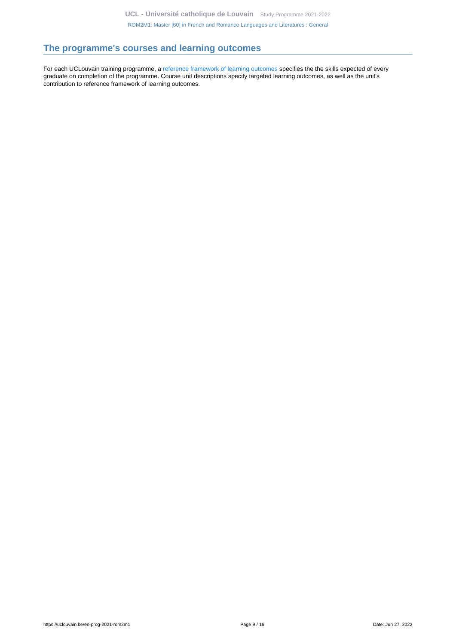# <span id="page-8-0"></span>**The programme's courses and learning outcomes**

For each UCLouvain training programme, a [reference framework of learning outcomes](https://uclouvain.be/en-prog-2021-rom2m1-competences_et_acquis.html) specifies the the skills expected of every graduate on completion of the programme. Course unit descriptions specify targeted learning outcomes, as well as the unit's contribution to reference framework of learning outcomes.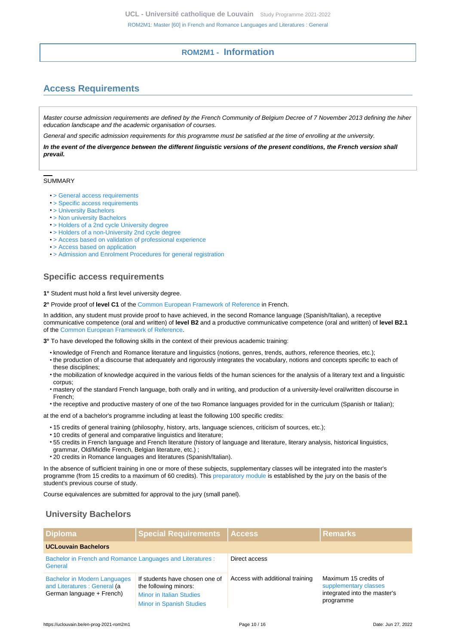# **ROM2M1 - Information**

# <span id="page-9-1"></span><span id="page-9-0"></span>**Access Requirements**

Master course admission requirements are defined by the French Community of Belgium Decree of 7 November 2013 defining the hiher education landscape and the academic organisation of courses.

General and specific admission requirements for this programme must be satisfied at the time of enrolling at the university.

**In the event of the divergence between the different linguistic versions of the present conditions, the French version shall prevail.**

#### SUMMARY

- [> General access requirements](https://uclouvain.be/en-prog-2021-rom2m1-cond_gen_adm_masters)
- [> Specific access requirements](#page-9-2)
- [> University Bachelors](#page-9-3)
- [> Non university Bachelors](#page-10-0)
- [> Holders of a 2nd cycle University degree](#page-10-1)
- [> Holders of a non-University 2nd cycle degree](#page-11-0)
- [> Access based on validation of professional experience](#page-11-1)
- [> Access based on application](#page-11-2)
- [> Admission and Enrolment Procedures for general registration](#page-12-0)

## <span id="page-9-2"></span>**Specific access requirements**

#### **1°** Student must hold a first level university degree.

**2°** Provide proof of **level C1** of the [Common European Framework of Reference](https://www.coe.int/en/web/common-european-framework-reference-languages/level-descriptions) in French.

In addition, any student must provide proof to have achieved, in the second Romance language (Spanish/Italian), a receptive communicative competence (oral and written) of **level B2** and a productive communicative competence (oral and written) of **level B2.1** of the [Common European Framework of Reference.](https://www.coe.int/en/web/common-european-framework-reference-languages/level-descriptions)

**3°** To have developed the following skills in the context of their previous academic training:

- knowledge of French and Romance literature and linguistics (notions, genres, trends, authors, reference theories, etc.);
- the production of a discourse that adequately and rigorously integrates the vocabulary, notions and concepts specific to each of these disciplines;
- the mobilization of knowledge acquired in the various fields of the human sciences for the analysis of a literary text and a linguistic corpus;
- mastery of the standard French language, both orally and in writing, and production of a university-level oral/written discourse in French;
- the receptive and productive mastery of one of the two Romance languages provided for in the curriculum (Spanish or Italian);

at the end of a bachelor's programme including at least the following 100 specific credits:

- 15 credits of general training (philosophy, history, arts, language sciences, criticism of sources, etc.);
- 10 credits of general and comparative linguistics and literature;
- 55 credits in French language and French literature (history of language and literature, literary analysis, historical linguistics, grammar, Old/Middle French, Belgian literature, etc.) ;
- 20 credits in Romance languages and literatures (Spanish/Italian).

In the absence of sufficient training in one or more of these subjects, supplementary classes will be integrated into the master's programme (from 15 credits to a maximum of 60 credits). This [preparatory module](http://uclouvain.be/en-prog-rom2m1-module_complementaire) is established by the jury on the basis of the student's previous course of study.

Course equivalences are submitted for approval to the jury (small panel).

# <span id="page-9-3"></span>**University Bachelors**

| <b>Diploma</b>                                                                                                                                                                                                                    | <b>Special Requirements</b> | Access                          | l Remarks                                                                                   |
|-----------------------------------------------------------------------------------------------------------------------------------------------------------------------------------------------------------------------------------|-----------------------------|---------------------------------|---------------------------------------------------------------------------------------------|
| <b>UCLouvain Bachelors</b>                                                                                                                                                                                                        |                             |                                 |                                                                                             |
| Bachelor in French and Romance Languages and Literatures :<br>General                                                                                                                                                             |                             | Direct access                   |                                                                                             |
| If students have chosen one of<br><b>Bachelor in Modern Languages</b><br>and Literatures : General (a<br>the following minors:<br>German language + French)<br><b>Minor in Italian Studies</b><br><b>Minor in Spanish Studies</b> |                             | Access with additional training | Maximum 15 credits of<br>supplementary classes<br>integrated into the master's<br>programme |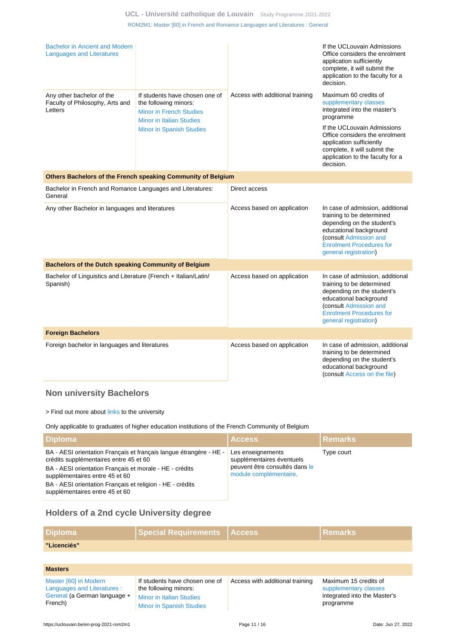| Bachelor in Ancient and Modern<br><b>Languages and Literatures</b>          |                                                                                                                                                                 |                                 | If the UCLouvain Admissions<br>Office considers the enrolment<br>application sufficiently<br>complete, it will submit the<br>application to the faculty for a<br>decision.                                                                                                |
|-----------------------------------------------------------------------------|-----------------------------------------------------------------------------------------------------------------------------------------------------------------|---------------------------------|---------------------------------------------------------------------------------------------------------------------------------------------------------------------------------------------------------------------------------------------------------------------------|
| Any other bachelor of the<br>Faculty of Philosophy, Arts and<br>Letters     | If students have chosen one of<br>the following minors:<br><b>Minor in French Studies</b><br><b>Minor in Italian Studies</b><br><b>Minor in Spanish Studies</b> | Access with additional training | Maximum 60 credits of<br>supplementary classes<br>integrated into the master's<br>programme<br>If the UCLouvain Admissions<br>Office considers the enrolment<br>application sufficiently<br>complete, it will submit the<br>application to the faculty for a<br>decision. |
|                                                                             | Others Bachelors of the French speaking Community of Belgium                                                                                                    |                                 |                                                                                                                                                                                                                                                                           |
| Bachelor in French and Romance Languages and Literatures:<br>General        |                                                                                                                                                                 | Direct access                   |                                                                                                                                                                                                                                                                           |
| Any other Bachelor in languages and literatures                             |                                                                                                                                                                 | Access based on application     | In case of admission, additional<br>training to be determined<br>depending on the student's<br>educational background<br>(consult Admission and<br><b>Enrolment Procedures for</b><br>general registration)                                                               |
| <b>Bachelors of the Dutch speaking Community of Belgium</b>                 |                                                                                                                                                                 |                                 |                                                                                                                                                                                                                                                                           |
| Bachelor of Linguistics and Literature (French + Italian/Latin/<br>Spanish) |                                                                                                                                                                 | Access based on application     | In case of admission, additional<br>training to be determined<br>depending on the student's<br>educational background<br>(consult Admission and<br><b>Enrolment Procedures for</b><br>general registration)                                                               |
| <b>Foreign Bachelors</b>                                                    |                                                                                                                                                                 |                                 |                                                                                                                                                                                                                                                                           |
| Foreign bachelor in languages and literatures                               |                                                                                                                                                                 | Access based on application     | In case of admission, additional<br>training to be determined<br>depending on the student's<br>educational background<br>(consult Access on the file)                                                                                                                     |

# <span id="page-10-0"></span>**Non university Bachelors**

> Find out more about [links](https://uclouvain.be/fr/etudier/passerelles) to the university

Only applicable to graduates of higher education institutions of the French Community of Belgium

| <b>Diploma</b>                                                                                                                                                                                            | <b>Access</b>                                                                                              | l Remarks  |
|-----------------------------------------------------------------------------------------------------------------------------------------------------------------------------------------------------------|------------------------------------------------------------------------------------------------------------|------------|
| BA - AESI orientation Français et français langue étrangère - HE -<br>crédits supplémentaires entre 45 et 60<br>BA - AESI orientation Français et morale - HE - crédits<br>supplémentaires entre 45 et 60 | Les enseignements<br>supplémentaires éventuels<br>peuvent être consultés dans le<br>module complémentaire. | Type court |
| BA - AESI orientation Français et religion - HE - crédits<br>supplémentaires entre 45 et 60                                                                                                               |                                                                                                            |            |

# <span id="page-10-1"></span>**Holders of a 2nd cycle University degree**

| <b>Diploma</b>                                                                                  | <b>Special Requirements</b>                                                                                            | <b>Access</b>                   | <b>Remarks</b>                                                                              |
|-------------------------------------------------------------------------------------------------|------------------------------------------------------------------------------------------------------------------------|---------------------------------|---------------------------------------------------------------------------------------------|
| "Licenciés"                                                                                     |                                                                                                                        |                                 |                                                                                             |
|                                                                                                 |                                                                                                                        |                                 |                                                                                             |
| <b>Masters</b>                                                                                  |                                                                                                                        |                                 |                                                                                             |
| Master [60] in Modern<br>Languages and Literatures :<br>General (a German language +<br>French) | If students have chosen one of<br>the following minors:<br>Minor in Italian Studies<br><b>Minor in Spanish Studies</b> | Access with additional training | Maximum 15 credits of<br>supplementary classes<br>integrated into the Master's<br>programme |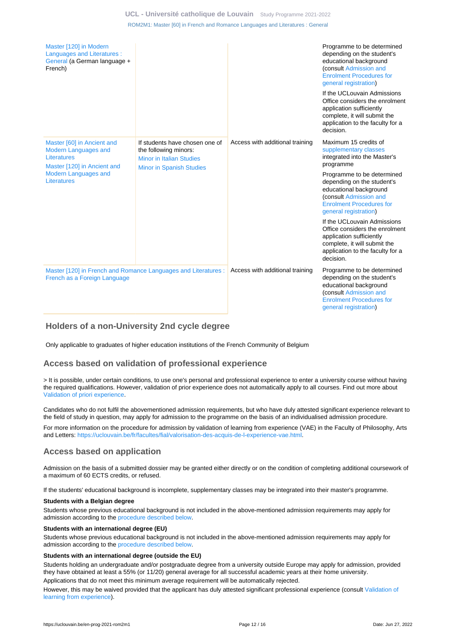| Master [120] in Modern<br>Languages and Literatures :<br>General (a German language +<br>French)        |                                                                                                                               |                                 | Programme to be determined<br>depending on the student's<br>educational background<br>(consult Admission and<br><b>Enrolment Procedures for</b><br>general registration)   |
|---------------------------------------------------------------------------------------------------------|-------------------------------------------------------------------------------------------------------------------------------|---------------------------------|----------------------------------------------------------------------------------------------------------------------------------------------------------------------------|
|                                                                                                         |                                                                                                                               |                                 | If the UCLouvain Admissions<br>Office considers the enrolment<br>application sufficiently<br>complete, it will submit the<br>application to the faculty for a<br>decision. |
| Master [60] in Ancient and<br><b>Modern Languages and</b><br>Literatures<br>Master [120] in Ancient and | If students have chosen one of<br>the following minors:<br><b>Minor in Italian Studies</b><br><b>Minor in Spanish Studies</b> | Access with additional training | Maximum 15 credits of<br>supplementary classes<br>integrated into the Master's<br>programme                                                                                |
| <b>Modern Languages and</b><br>Literatures                                                              |                                                                                                                               |                                 | Programme to be determined<br>depending on the student's<br>educational background<br>(consult Admission and<br><b>Enrolment Procedures for</b><br>general registration)   |
|                                                                                                         |                                                                                                                               |                                 | If the UCLouvain Admissions<br>Office considers the enrolment<br>application sufficiently<br>complete, it will submit the<br>application to the faculty for a<br>decision. |
| Master [120] in French and Romance Languages and Literatures :<br>French as a Foreign Language          |                                                                                                                               | Access with additional training | Programme to be determined<br>depending on the student's<br>educational background<br>(consult Admission and<br><b>Enrolment Procedures for</b><br>general registration)   |

# <span id="page-11-0"></span>**Holders of a non-University 2nd cycle degree**

Only applicable to graduates of higher education institutions of the French Community of Belgium

## <span id="page-11-1"></span>**Access based on validation of professional experience**

> It is possible, under certain conditions, to use one's personal and professional experience to enter a university course without having the required qualifications. However, validation of prior experience does not automatically apply to all courses. Find out more about [Validation of priori experience](https://uclouvain.be/en/study/vae).

Candidates who do not fulfil the abovementioned admission requirements, but who have duly attested significant experience relevant to the field of study in question, may apply for admission to the programme on the basis of an individualised admission procedure.

For more information on the procedure for admission by validation of learning from experience (VAE) in the Faculty of Philosophy, Arts and Letters:<https://uclouvain.be/fr/facultes/fial/valorisation-des-acquis-de-l-experience-vae.html>.

## <span id="page-11-2"></span>**Access based on application**

Admission on the basis of a submitted dossier may be granted either directly or on the condition of completing additional coursework of a maximum of 60 ECTS credits, or refused.

If the students' educational background is incomplete, supplementary classes may be integrated into their master's programme.

#### **Students with a Belgian degree**

Students whose previous educational background is not included in the above-mentioned admission requirements may apply for admission according to the [procedure described below](https://uclouvain.be/en-prog-rom2m1-cond_adm#proceduresAdmission).

#### **Students with an international degree (EU)**

Students whose previous educational background is not included in the above-mentioned admission requirements may apply for admission according to the [procedure described below](https://uclouvain.be/en-prog-rom2m1-cond_adm#proceduresAdmission).

#### **Students with an international degree (outside the EU)**

Students holding an undergraduate and/or postgraduate degree from a university outside Europe may apply for admission, provided they have obtained at least a 55% (or 11/20) general average for all successful academic years at their home university.

Applications that do not meet this minimum average requirement will be automatically rejected.

However, this may be waived provided that the applicant has duly attested significant professional experience (consult [Validation of](https://uclouvain.be/prog-rom2m1-cond_adm#adultesRepriseEtudes) [learning from experience\)](https://uclouvain.be/prog-rom2m1-cond_adm#adultesRepriseEtudes).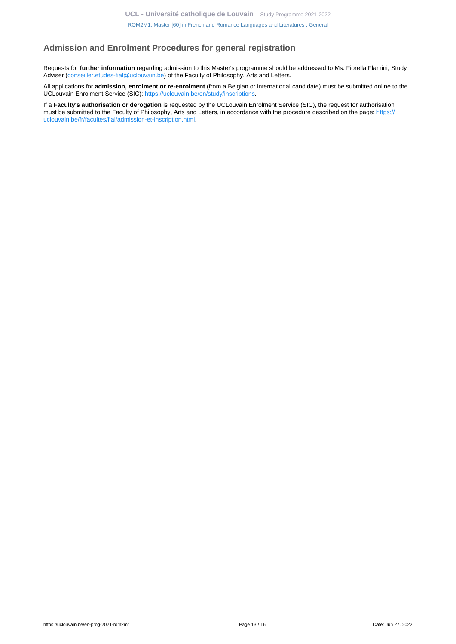# <span id="page-12-0"></span>**Admission and Enrolment Procedures for general registration**

Requests for **further information** regarding admission to this Master's programme should be addressed to Ms. Fiorella Flamini, Study Adviser [\(conseiller.etudes-fial@uclouvain.be](https://uclouvain.be/mailto:conseiller.etudes-fial@uclouvain.be?subject=ROM2M1%20-%20Information%20request)) of the Faculty of Philosophy, Arts and Letters.

All applications for **admission, enrolment or re-enrolment** (from a Belgian or international candidate) must be submitted online to the UCLouvain Enrolment Service (SIC): [https://uclouvain.be/en/study/inscriptions.](https://uclouvain.be/en/study/inscriptions)

If a **Faculty's authorisation or derogation** is requested by the UCLouvain Enrolment Service (SIC), the request for authorisation must be submitted to the Faculty of Philosophy, Arts and Letters, in accordance with the procedure described on the page: [https://](https://uclouvain.be/fr/facultes/fial/admission-et-inscription.html) [uclouvain.be/fr/facultes/fial/admission-et-inscription.html.](https://uclouvain.be/fr/facultes/fial/admission-et-inscription.html)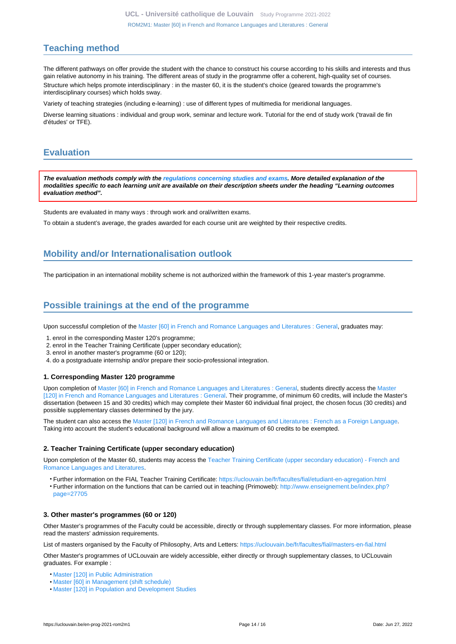# <span id="page-13-0"></span>**Teaching method**

The different pathways on offer provide the student with the chance to construct his course according to his skills and interests and thus gain relative autonomy in his training. The different areas of study in the programme offer a coherent, high-quality set of courses. Structure which helps promote interdisciplinary : in the master 60, it is the student's choice (geared towards the programme's interdisciplinary courses) which holds sway.

Variety of teaching strategies (including e-learning) : use of different types of multimedia for meridional languages.

Diverse learning situations : individual and group work, seminar and lecture work. Tutorial for the end of study work ('travail de fin d'études' or TFE).

# <span id="page-13-1"></span>**Evaluation**

**The evaluation methods comply with the [regulations concerning studies and exams](https://uclouvain.be/fr/decouvrir/rgee.html). More detailed explanation of the modalities specific to each learning unit are available on their description sheets under the heading "Learning outcomes evaluation method".**

Students are evaluated in many ways : through work and oral/written exams.

To obtain a student's average, the grades awarded for each course unit are weighted by their respective credits.

# <span id="page-13-2"></span>**Mobility and/or Internationalisation outlook**

The participation in an international mobility scheme is not authorized within the framework of this 1-year master's programme.

# <span id="page-13-3"></span>**Possible trainings at the end of the programme**

Upon successful completion of the [Master \[60\] in French and Romance Languages and Literatures : General,](https://uclouvain.be/en-prog-2021-rom2m1) graduates may:

- 1. enrol in the corresponding Master 120's programme;
- 2. enrol in the Teacher Training Certificate (upper secondary education);
- 3. enrol in another master's programme (60 or 120);
- 4. do a postgraduate internship and/or prepare their socio-professional integration.

#### **1. Corresponding Master 120 programme**

Upon completion of [Master \[60\] in French and Romance Languages and Literatures : General,](https://uclouvain.be/en-prog-2021-rom2m1) students directly access the [Master](https://uclouvain.be/en-prog-2021-rom2m) [\[120\] in French and Romance Languages and Literatures : General.](https://uclouvain.be/en-prog-2021-rom2m) Their programme, of minimum 60 credits, will include the Master's dissertation (between 15 and 30 credits) which may complete their Master 60 individual final project, the chosen focus (30 credits) and possible supplementary classes determined by the jury.

The student can also access the [Master \[120\] in French and Romance Languages and Literatures : French as a Foreign Language](https://uclouvain.be/en-prog-2021-fle2m). Taking into account the student's educational background will allow a maximum of 60 credits to be exempted.

#### **2. Teacher Training Certificate (upper secondary education)**

Upon completion of the Master 60, students may access the [Teacher Training Certificate \(upper secondary education\) - French and](https://uclouvain.be/en-prog-2021-rom2a) [Romance Languages and Literatures](https://uclouvain.be/en-prog-2021-rom2a).

• Further information on the FIAL Teacher Training Certificate:<https://uclouvain.be/fr/facultes/fial/etudiant-en-agregation.html> • Further information on the functions that can be carried out in teaching (Primoweb): [http://www.enseignement.be/index.php?](http://www.enseignement.be/index.php?page=27705) [page=27705](http://www.enseignement.be/index.php?page=27705)

#### **3. Other master's programmes (60 or 120)**

Other Master's programmes of the Faculty could be accessible, directly or through supplementary classes. For more information, please read the masters' admission requirements.

List of masters organised by the Faculty of Philosophy, Arts and Letters: <https://uclouvain.be/fr/facultes/fial/masters-en-fial.html>

Other Master's programmes of UCLouvain are widely accessible, either directly or through supplementary classes, to UCLouvain graduates. For example :

- [Master \[120\] in Public Administration](https://uclouvain.be/en-prog-2021-adpu2m)
- [Master \[60\] in Management \(shift schedule\)](https://uclouvain.be/en-prog-2021-gehd2m1)
- [Master \[120\] in Population and Development Studies](https://uclouvain.be/en-prog-2021-sped2m)